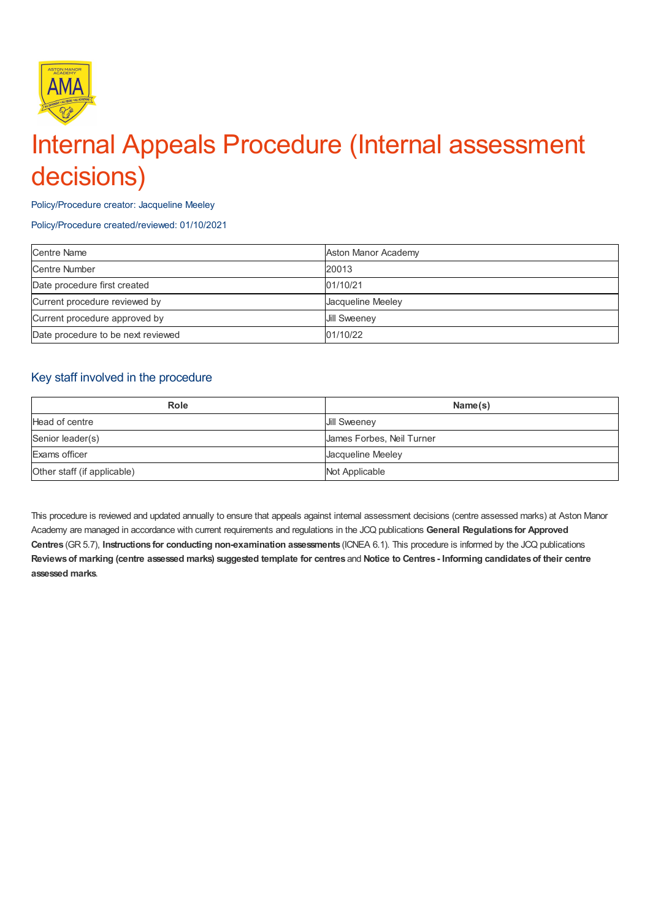

# Internal Appeals Procedure (Internal assessment decisions)

Policy/Procedure creator: Jacqueline Meeley

Policy/Procedure created/reviewed: 01/10/2021

| <b>Centre Name</b>                 | Aston Manor Academy |
|------------------------------------|---------------------|
| Centre Number                      | 20013               |
| Date procedure first created       | 01/10/21            |
| Current procedure reviewed by      | Jacqueline Meeley   |
| Current procedure approved by      | <b>Jill Sweenev</b> |
| Date procedure to be next reviewed | 01/10/22            |

## Key staff involved in the procedure

| <b>Role</b>                 | Name(s)                   |
|-----------------------------|---------------------------|
| Head of centre              | <b>Jill Sweeney</b>       |
| Senior leader(s)            | James Forbes, Neil Turner |
| Exams officer               | Jacqueline Meeley         |
| Other staff (if applicable) | Not Applicable            |

This procedure is reviewed and updated annually to ensure that appeals against internal assessment decisions (centre assessed marks) at Aston Manor Academy are managed in accordance with current requirements and regulations in the JCQ publications **General Regulations for Approved Centres** (GR 5.7), **Instructions for conducting non-examination assessments** (ICNEA 6.1). This procedure is informed by the JCQ publications Reviews of marking (centre assessed marks) suggested template for centres and Notice to Centres - Informing candidates of their centre **assessed marks**.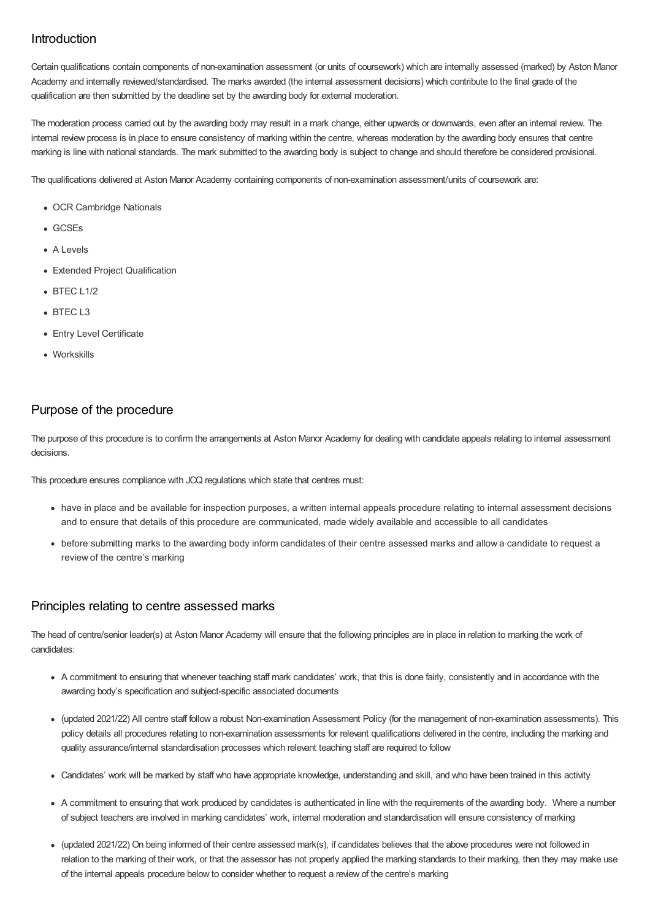# Introduction

Certain qualifications contain components of non-examination assessment (or units of coursework) which are internally assessed (marked) by Aston Manor Academy and internally reviewed/standardised. The marks awarded (the internal assessment decisions) which contribute to the final grade of the qualification are then submitted by the deadline set by the awarding body for external moderation.

The moderation process carried out by the awarding body may result in a mark change, either upwards or downwards, even after an internal review. The internal review process is in place to ensure consistency of marking within the centre, whereas moderation by the awarding body ensures that centre marking is line with national standards. The mark submitted to the awarding body is subject to change and should therefore be considered provisional.

The qualifications delivered at Aston Manor Academy containing components of non-examination assessment/units of coursework are:

- OCR Cambridge Nationals
- GCSEs
- A Levels
- Extended Project Qualification
- $\bullet$  BTEC L1/2
- $-BTEC 13$
- Entry Level Certificate
- Workskills

## Purpose of the procedure

The purpose of this procedure is to confirm the arrangements at Aston Manor Academy for dealing with candidate appeals relating to internal assessment decisions.

This procedure ensures compliance with JCQ regulations which state that centres must:

- have in place and be available for inspection purposes, a written internal appeals procedure relating to internal assessment decisions and to ensure that details of this procedure are communicated, made widely available and accessible to all candidates
- before submitting marks to the awarding body inform candidates of their centre assessed marks and allow a candidate to request a review of the centre's marking

#### Principles relating to centre assessed marks

The head of centre/senior leader(s) at Aston Manor Academy will ensure that the following principles are in place in relation to marking the work of candidates:

- A commitment to ensuring that whenever teaching staff mark candidates' work, that this is done fairly, consistently and in accordance with the awarding body's specification and subject-specific associated documents
- (updated 2021/22) All centre staff follow a robust Non-examination Assessment Policy (for the management of non-examination assessments). This policy details all procedures relating to non-examination assessments for relevant qualifications delivered in the centre, including the marking and quality assurance/internal standardisation processes which relevant teaching staff are required to follow
- Candidates' work will be marked by staff who have appropriate knowledge, understanding and skill, and who have been trained in this activity
- A commitment to ensuring that work produced by candidates is authenticated in line with the requirements of the awarding body. Where a number of subject teachers are involved in marking candidates' work, internal moderation and standardisation will ensure consistency of marking
- (updated 2021/22) On being informed of their centre assessed mark(s), if candidates believes that the above procedures were not followed in relation to the marking of their work, or that the assessor has not properly applied the marking standards to their marking, then they may make use of the internal appeals procedure below to consider whether to request a review of the centre's marking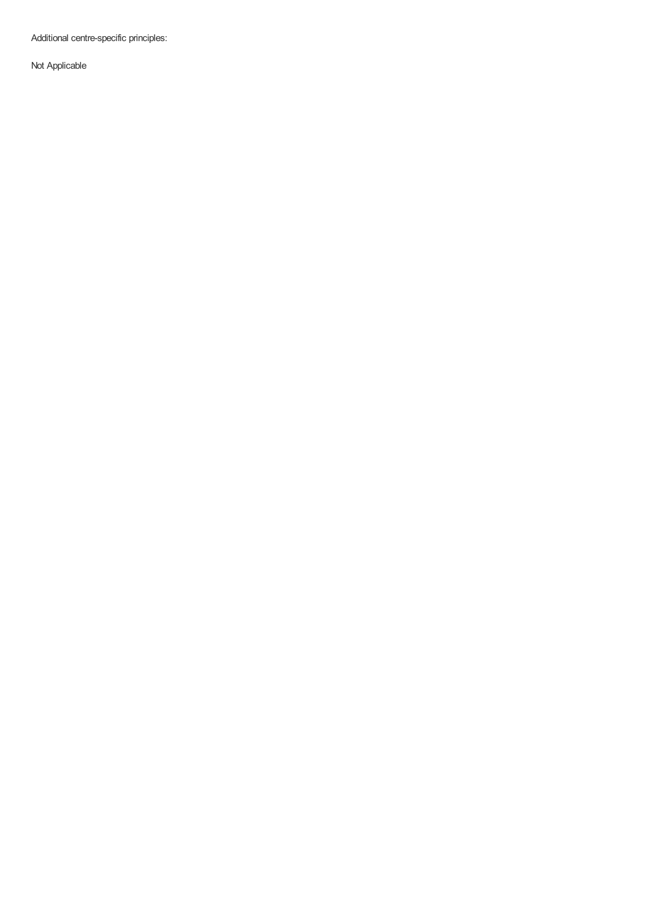Additional centre-specific principles:

Not Applicable